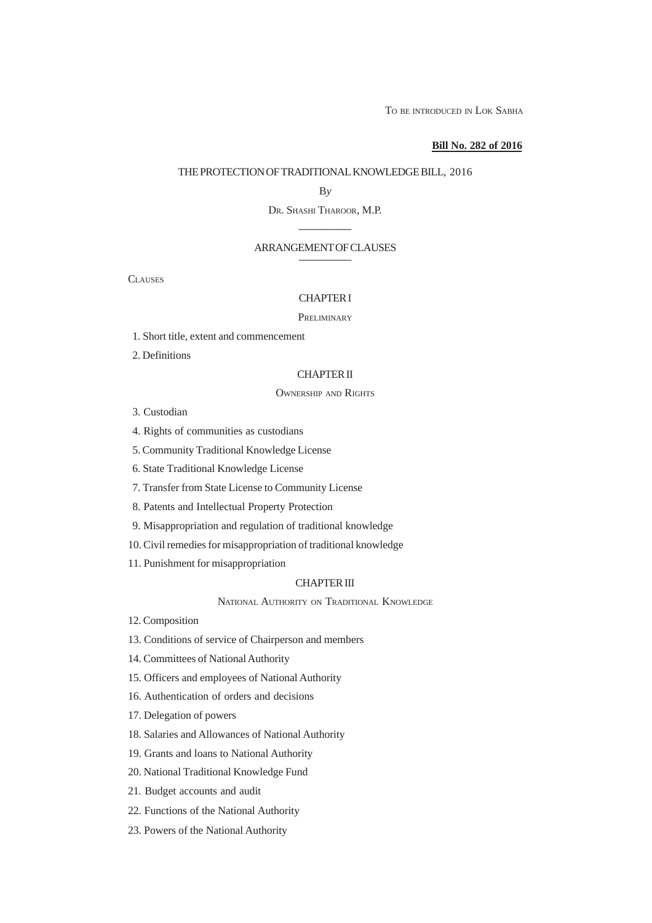TO BE INTRODUCED IN LOK SABHA

# **Bill No. 282 of 2016**

#### THE PROTECTION OF TRADITIONAL KNOWLEDGE BILL, 2016

B*y*

# DR. SHASHI THAROOR, M.P. ————

# ARRANGEMENT OF CLAUSES ————

**CLAUSES** 

# CHAPTER I

## **PRELIMINARY**

- 1. Short title, extent and commencement
- 2. Definitions

# CHAPTER II

#### OWNERSHIP AND RIGHTS

- 3. Custodian
- 4. Rights of communities as custodians
- 5. Community Traditional Knowledge License
- 6. State Traditional Knowledge License
- 7. Transfer from State License to Community License
- 8. Patents and Intellectual Property Protection
- 9. Misappropriation and regulation of traditional knowledge
- 10. Civil remedies for misappropriation of traditional knowledge
- 11. Punishment for misappropriation

# CHAPTER III

NATIONAL AUTHORITY ON TRADITIONAL KNOWLEDGE

- 12. Composition
- 13. Conditions of service of Chairperson and members
- 14. Committees of National Authority
- 15. Officers and employees of National Authority
- 16. Authentication of orders and decisions
- 17. Delegation of powers
- 18. Salaries and Allowances of National Authority
- 19. Grants and loans to National Authority
- 20. National Traditional Knowledge Fund
- 21. Budget accounts and audit
- 22. Functions of the National Authority
- 23. Powers of the National Authority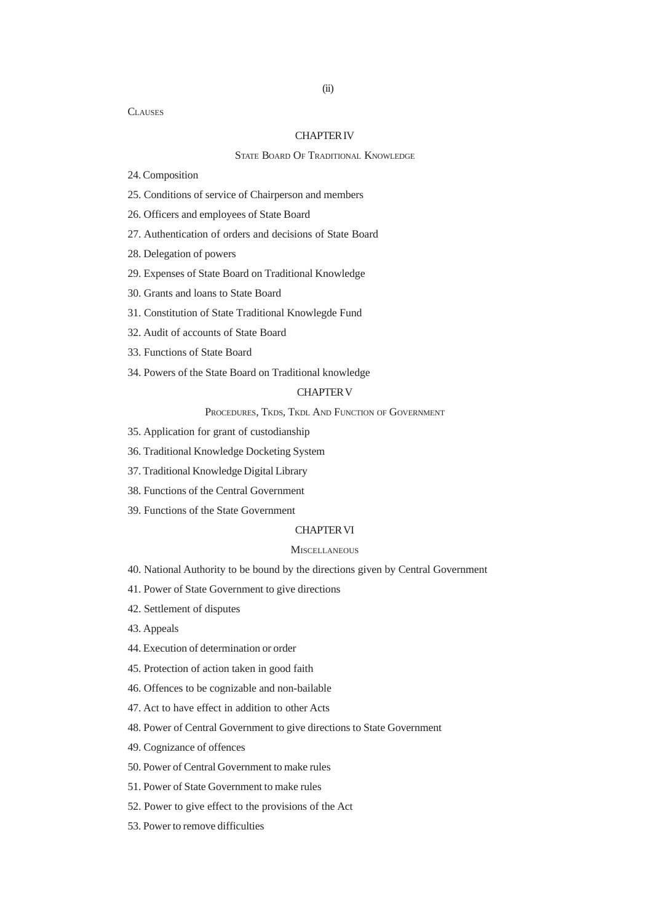**CLAUSES** 

#### CHAPTER IV

#### STATE BOARD OF TRADITIONAL KNOWLEDGE

- 24. Composition
- 25. Conditions of service of Chairperson and members
- 26. Officers and employees of State Board
- 27. Authentication of orders and decisions of State Board
- 28. Delegation of powers
- 29. Expenses of State Board on Traditional Knowledge
- 30. Grants and loans to State Board
- 31. Constitution of State Traditional Knowlegde Fund
- 32. Audit of accounts of State Board
- 33. Functions of State Board
- 34. Powers of the State Board on Traditional knowledge

# CHAPTER V

# PROCEDURES, TKDS, TKDL AND FUNCTION OF GOVERNMENT

- 35. Application for grant of custodianship
- 36. Traditional Knowledge Docketing System
- 37. Traditional Knowledge Digital Library
- 38. Functions of the Central Government
- 39. Functions of the State Government

# CHAPTER VI

#### **MISCELLANEOUS**

- 40. National Authority to be bound by the directions given by Central Government
- 41. Power of State Government to give directions
- 42. Settlement of disputes
- 43. Appeals
- 44. Execution of determination or order
- 45. Protection of action taken in good faith
- 46. Offences to be cognizable and non-bailable
- 47. Act to have effect in addition to other Acts
- 48. Power of Central Government to give directions to State Government
- 49. Cognizance of offences
- 50. Power of Central Government to make rules
- 51. Power of State Government to make rules
- 52. Power to give effect to the provisions of the Act
- 53. Power to remove difficulties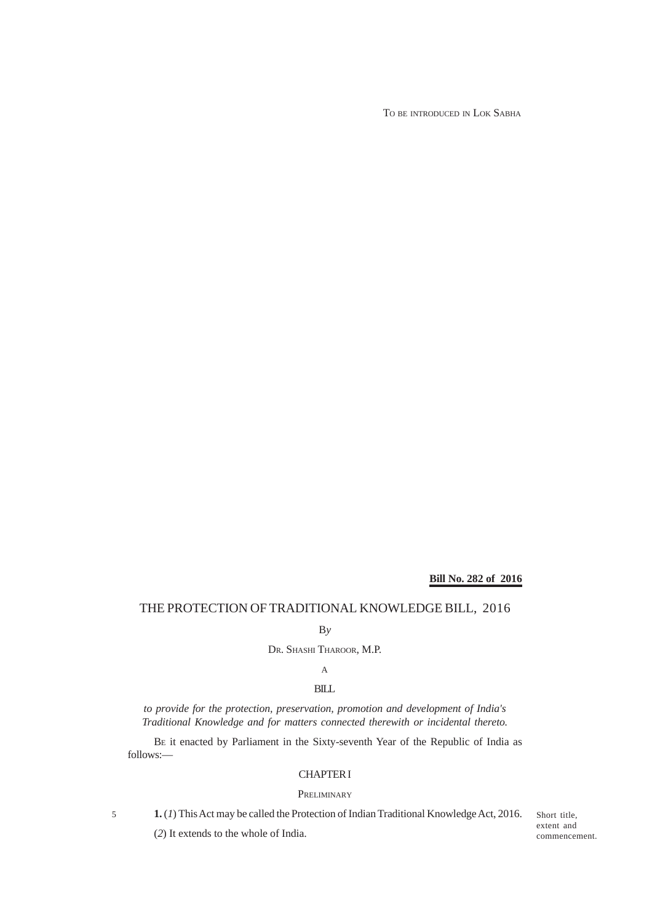TO BE INTRODUCED IN LOK SABHA

**Bill No. 282 of 2016**

# THE PROTECTION OF TRADITIONAL KNOWLEDGE BILL, 2016

B*y*

DR. SHASHI THAROOR, M.P.

# A

BILL

*to provide for the protection, preservation, promotion and development of India's Traditional Knowledge and for matters connected therewith or incidental thereto.*

BE it enacted by Parliament in the Sixty-seventh Year of the Republic of India as follows:—

# CHAPTER I

## **PRELIMINARY**

5

**1.** (*1*) This Act may be called the Protection of Indian Traditional Knowledge Act, 2016.

(*2*) It extends to the whole of India.

Short title, extent and commencement.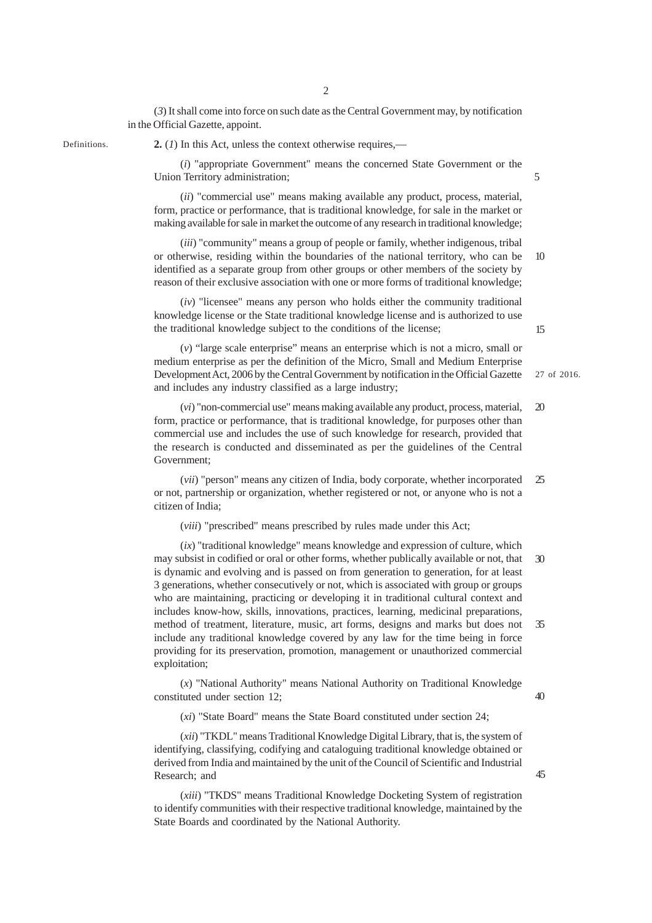(*3*) It shall come into force on such date as the Central Government may, by notification in the Official Gazette, appoint.

2

Definitions.

**2.** (*1*) In this Act, unless the context otherwise requires,—

(*i*) "appropriate Government" means the concerned State Government or the Union Territory administration;

(*ii*) "commercial use" means making available any product, process, material, form, practice or performance, that is traditional knowledge, for sale in the market or making available for sale in market the outcome of any research in traditional knowledge;

(*iii*) "community" means a group of people or family, whether indigenous, tribal or otherwise, residing within the boundaries of the national territory, who can be identified as a separate group from other groups or other members of the society by reason of their exclusive association with one or more forms of traditional knowledge; 10

(*iv*) "licensee" means any person who holds either the community traditional knowledge license or the State traditional knowledge license and is authorized to use the traditional knowledge subject to the conditions of the license;

(*v*) "large scale enterprise" means an enterprise which is not a micro, small or medium enterprise as per the definition of the Micro, Small and Medium Enterprise Development Act, 2006 by the Central Government by notification in the Official Gazette and includes any industry classified as a large industry;

(*vi*) "non-commercial use" means making available any product, process, material, form, practice or performance, that is traditional knowledge, for purposes other than commercial use and includes the use of such knowledge for research, provided that the research is conducted and disseminated as per the guidelines of the Central Government;  $\gamma$ 

(*vii*) "person" means any citizen of India, body corporate, whether incorporated or not, partnership or organization, whether registered or not, or anyone who is not a citizen of India; 25

(*viii*) "prescribed" means prescribed by rules made under this Act;

(*ix*) "traditional knowledge" means knowledge and expression of culture, which may subsist in codified or oral or other forms, whether publically available or not, that is dynamic and evolving and is passed on from generation to generation, for at least 3 generations, whether consecutively or not, which is associated with group or groups who are maintaining, practicing or developing it in traditional cultural context and includes know-how, skills, innovations, practices, learning, medicinal preparations, method of treatment, literature, music, art forms, designs and marks but does not include any traditional knowledge covered by any law for the time being in force providing for its preservation, promotion, management or unauthorized commercial exploitation; 30 35

(*x*) "National Authority" means National Authority on Traditional Knowledge constituted under section 12;

(*xi*) "State Board" means the State Board constituted under section 24;

(*xii*) "TKDL" means Traditional Knowledge Digital Library, that is, the system of identifying, classifying, codifying and cataloguing traditional knowledge obtained or derived from India and maintained by the unit of the Council of Scientific and Industrial Research; and

(*xiii*) "TKDS" means Traditional Knowledge Docketing System of registration to identify communities with their respective traditional knowledge, maintained by the State Boards and coordinated by the National Authority.

15

5

#### 27 of 2016.

40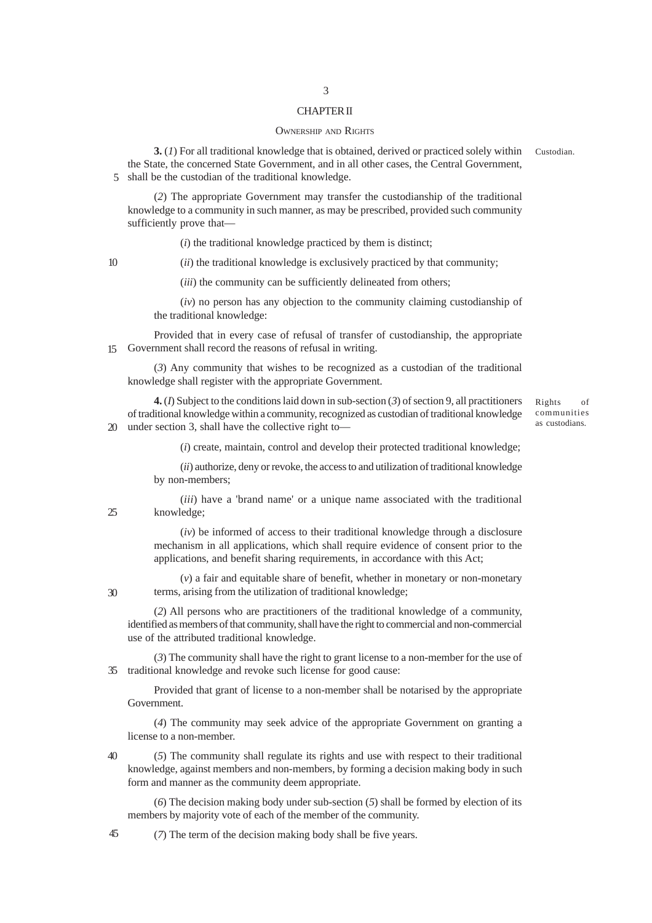## CHAPTER II

#### OWNERSHIP AND RIGHTS

**3.** (*1*) For all traditional knowledge that is obtained, derived or practiced solely within the State, the concerned State Government, and in all other cases, the Central Government, 5 shall be the custodian of the traditional knowledge. Custodian.

(*2*) The appropriate Government may transfer the custodianship of the traditional knowledge to a community in such manner, as may be prescribed, provided such community sufficiently prove that—

(*i*) the traditional knowledge practiced by them is distinct;

10

(*ii*) the traditional knowledge is exclusively practiced by that community;

(*iii*) the community can be sufficiently delineated from others;

(*iv*) no person has any objection to the community claiming custodianship of the traditional knowledge:

Provided that in every case of refusal of transfer of custodianship, the appropriate Government shall record the reasons of refusal in writing. 15

(*3*) Any community that wishes to be recognized as a custodian of the traditional knowledge shall register with the appropriate Government.

**4.** (*I*) Subject to the conditions laid down in sub-section (*3*) of section 9, all practitioners of traditional knowledge within a community, recognized as custodian of traditional knowledge under section 3, shall have the collective right to— 20

Rights of communities as custodians.

(*i*) create, maintain, control and develop their protected traditional knowledge;

(*ii*) authorize, deny or revoke, the access to and utilization of traditional knowledge by non-members;

(*iii*) have a 'brand name' or a unique name associated with the traditional knowledge;

(*iv*) be informed of access to their traditional knowledge through a disclosure mechanism in all applications, which shall require evidence of consent prior to the applications, and benefit sharing requirements, in accordance with this Act;

(*v*) a fair and equitable share of benefit, whether in monetary or non-monetary terms, arising from the utilization of traditional knowledge;

(*2*) All persons who are practitioners of the traditional knowledge of a community, identified as members of that community, shall have the right to commercial and non-commercial use of the attributed traditional knowledge.

(*3*) The community shall have the right to grant license to a non-member for the use of traditional knowledge and revoke such license for good cause: 35

Provided that grant of license to a non-member shall be notarised by the appropriate Government.

(*4*) The community may seek advice of the appropriate Government on granting a license to a non-member.

(*5*) The community shall regulate its rights and use with respect to their traditional knowledge, against members and non-members, by forming a decision making body in such form and manner as the community deem appropriate. 40

(*6*) The decision making body under sub-section (*5*) shall be formed by election of its members by majority vote of each of the member of the community.

45

(*7*) The term of the decision making body shall be five years.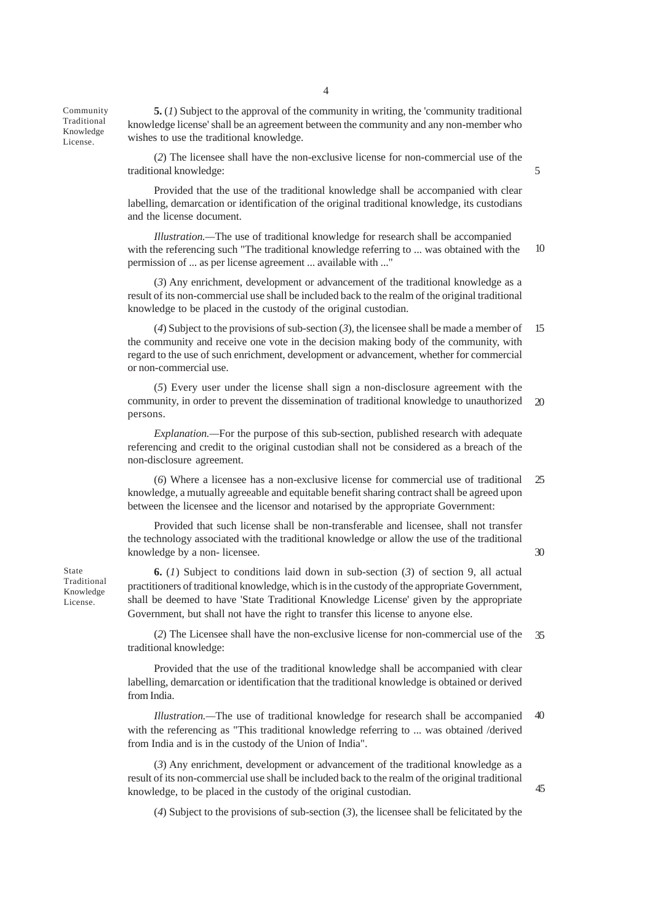Community Traditional Knowledge License.

**5.** (*1*) Subject to the approval of the community in writing, the 'community traditional knowledge license' shall be an agreement between the community and any non-member who wishes to use the traditional knowledge.

(*2*) The licensee shall have the non-exclusive license for non-commercial use of the traditional knowledge:

Provided that the use of the traditional knowledge shall be accompanied with clear labelling, demarcation or identification of the original traditional knowledge, its custodians and the license document.

*Illustration.—*The use of traditional knowledge for research shall be accompanied with the referencing such "The traditional knowledge referring to ... was obtained with the permission of ... as per license agreement ... available with ..." 10

(*3*) Any enrichment, development or advancement of the traditional knowledge as a result of its non-commercial use shall be included back to the realm of the original traditional knowledge to be placed in the custody of the original custodian.

(*4*) Subject to the provisions of sub-section (*3*), the licensee shall be made a member of the community and receive one vote in the decision making body of the community, with regard to the use of such enrichment, development or advancement, whether for commercial or non-commercial use. 15

(*5*) Every user under the license shall sign a non-disclosure agreement with the community, in order to prevent the dissemination of traditional knowledge to unauthorized persons. 20

*Explanation.—*For the purpose of this sub-section, published research with adequate referencing and credit to the original custodian shall not be considered as a breach of the non-disclosure agreement.

(*6*) Where a licensee has a non-exclusive license for commercial use of traditional knowledge, a mutually agreeable and equitable benefit sharing contract shall be agreed upon between the licensee and the licensor and notarised by the appropriate Government: 25

Provided that such license shall be non-transferable and licensee, shall not transfer the technology associated with the traditional knowledge or allow the use of the traditional knowledge by a non- licensee.

30

45

5

**6.** (*1*) Subject to conditions laid down in sub-section (*3*) of section 9, all actual practitioners of traditional knowledge, which is in the custody of the appropriate Government, shall be deemed to have 'State Traditional Knowledge License' given by the appropriate Government, but shall not have the right to transfer this license to anyone else.

(*2*) The Licensee shall have the non-exclusive license for non-commercial use of the traditional knowledge: 35

Provided that the use of the traditional knowledge shall be accompanied with clear labelling, demarcation or identification that the traditional knowledge is obtained or derived from India.

*Illustration.—*The use of traditional knowledge for research shall be accompanied with the referencing as "This traditional knowledge referring to ... was obtained /derived from India and is in the custody of the Union of India". 40

(*3*) Any enrichment, development or advancement of the traditional knowledge as a result of its non-commercial use shall be included back to the realm of the original traditional knowledge, to be placed in the custody of the original custodian.

(*4*) Subject to the provisions of sub-section (*3*), the licensee shall be felicitated by the

4

Traditional Knowledge License.

State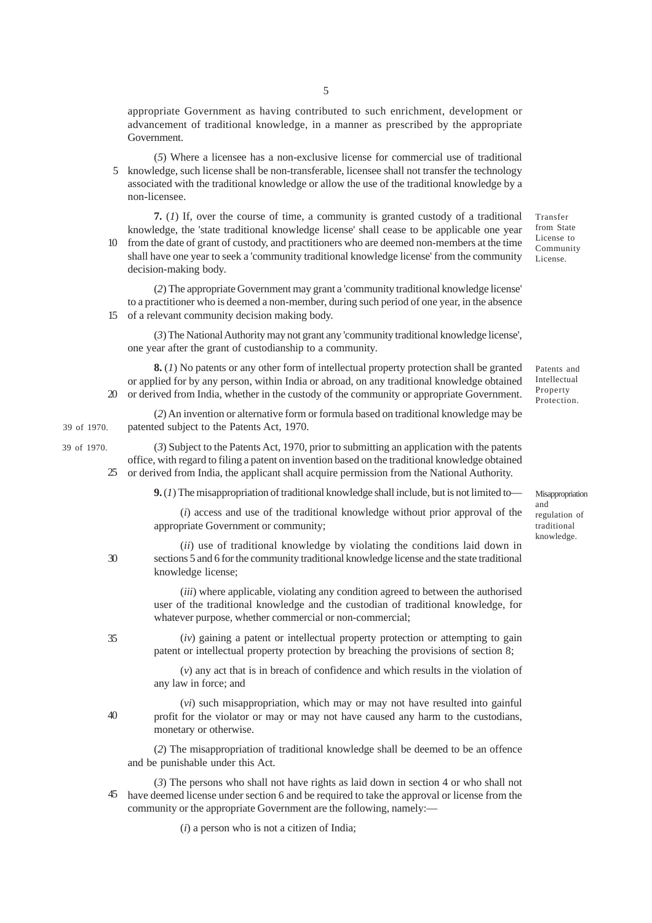appropriate Government as having contributed to such enrichment, development or advancement of traditional knowledge, in a manner as prescribed by the appropriate Government.

(*5*) Where a licensee has a non-exclusive license for commercial use of traditional 5 knowledge, such license shall be non-transferable, licensee shall not transfer the technology associated with the traditional knowledge or allow the use of the traditional knowledge by a non-licensee.

**7.** (*1*) If, over the course of time, a community is granted custody of a traditional knowledge, the 'state traditional knowledge license' shall cease to be applicable one year 10 from the date of grant of custody, and practitioners who are deemed non-members at the time shall have one year to seek a 'community traditional knowledge license' from the community decision-making body.

(*2*) The appropriate Government may grant a 'community traditional knowledge license' to a practitioner who is deemed a non-member, during such period of one year, in the absence 15 of a relevant community decision making body.

(*3*) The National Authority may not grant any 'community traditional knowledge license', one year after the grant of custodianship to a community.

**8.** (*1*) No patents or any other form of intellectual property protection shall be granted or applied for by any person, within India or abroad, on any traditional knowledge obtained or derived from India, whether in the custody of the community or appropriate Government. 20

(*2*) An invention or alternative form or formula based on traditional knowledge may be patented subject to the Patents Act, 1970.

(*3*) Subject to the Patents Act, 1970, prior to submitting an application with the patents office, with regard to filing a patent on invention based on the traditional knowledge obtained or derived from India, the applicant shall acquire permission from the National Authority. 25

**9.** (*1*) The misappropriation of traditional knowledge shall include, but is not limited to—

(*i*) access and use of the traditional knowledge without prior approval of the appropriate Government or community;

30

35

39 of 1970. 39 of 1970.

> (*ii*) use of traditional knowledge by violating the conditions laid down in sections 5 and 6 for the community traditional knowledge license and the state traditional knowledge license;

(*iii*) where applicable, violating any condition agreed to between the authorised user of the traditional knowledge and the custodian of traditional knowledge, for whatever purpose, whether commercial or non-commercial;

(*iv*) gaining a patent or intellectual property protection or attempting to gain patent or intellectual property protection by breaching the provisions of section 8;

(*v*) any act that is in breach of confidence and which results in the violation of any law in force; and

(*vi*) such misappropriation, which may or may not have resulted into gainful profit for the violator or may or may not have caused any harm to the custodians, monetary or otherwise. 40

(*2*) The misappropriation of traditional knowledge shall be deemed to be an offence and be punishable under this Act.

(*3*) The persons who shall not have rights as laid down in section 4 or who shall not have deemed license under section 6 and be required to take the approval or license from the community or the appropriate Government are the following, namely:— 45

(*i*) a person who is not a citizen of India;

5

from State License to Community License.

Transfer

Intellectual Property Protection.

Patents and

Misappropriation and regulation of traditional knowledge.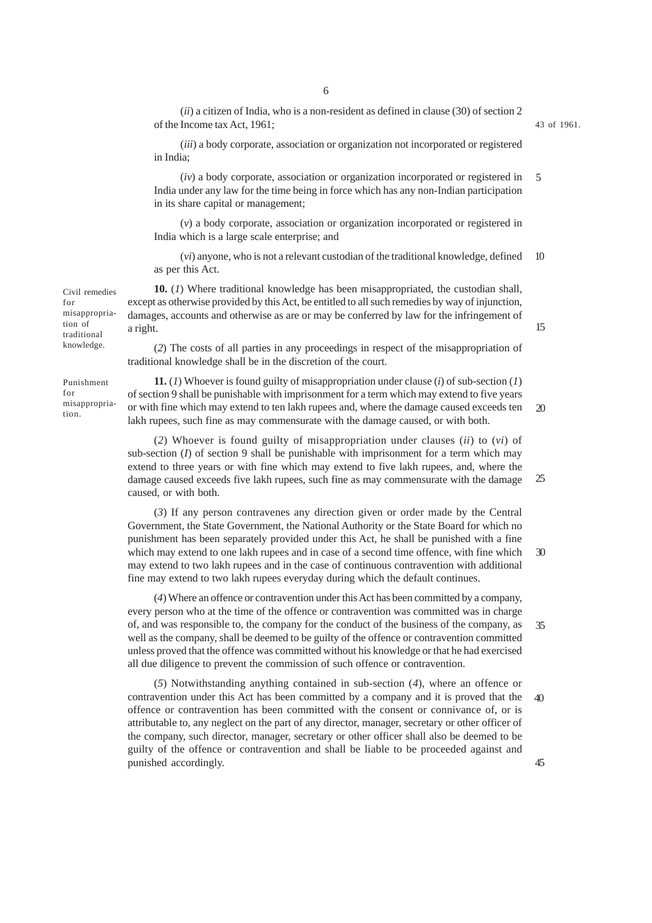(*ii*) a citizen of India, who is a non-resident as defined in clause (30) of section 2 of the Income tax Act, 1961;

6

43 of 1961.

(*iii*) a body corporate, association or organization not incorporated or registered in India;

(*iv*) a body corporate, association or organization incorporated or registered in India under any law for the time being in force which has any non-Indian participation in its share capital or management; 5

(*v*) a body corporate, association or organization incorporated or registered in India which is a large scale enterprise; and

(*vi*) anyone, who is not a relevant custodian of the traditional knowledge, defined as per this Act. 10

**10.** (*1*) Where traditional knowledge has been misappropriated, the custodian shall, except as otherwise provided by this Act, be entitled to all such remedies by way of injunction, damages, accounts and otherwise as are or may be conferred by law for the infringement of a right.

(*2*) The costs of all parties in any proceedings in respect of the misappropriation of traditional knowledge shall be in the discretion of the court.

Punishment for misappropriation.

Civil remedies

misappropriation of traditional knowledge.

for

**11.** (*1*) Whoever is found guilty of misappropriation under clause (*i*) of sub-section (*1*) of section 9 shall be punishable with imprisonment for a term which may extend to five years or with fine which may extend to ten lakh rupees and, where the damage caused exceeds ten lakh rupees, such fine as may commensurate with the damage caused, or with both.  $20$ 

(*2*) Whoever is found guilty of misappropriation under clauses (*ii*) to (*vi*) of sub-section (*I*) of section 9 shall be punishable with imprisonment for a term which may extend to three years or with fine which may extend to five lakh rupees, and, where the damage caused exceeds five lakh rupees, such fine as may commensurate with the damage caused, or with both. 25

(*3*) If any person contravenes any direction given or order made by the Central Government, the State Government, the National Authority or the State Board for which no punishment has been separately provided under this Act, he shall be punished with a fine which may extend to one lakh rupees and in case of a second time offence, with fine which may extend to two lakh rupees and in the case of continuous contravention with additional fine may extend to two lakh rupees everyday during which the default continues. 30

(*4*) Where an offence or contravention under this Act has been committed by a company, every person who at the time of the offence or contravention was committed was in charge of, and was responsible to, the company for the conduct of the business of the company, as well as the company, shall be deemed to be guilty of the offence or contravention committed unless proved that the offence was committed without his knowledge or that he had exercised all due diligence to prevent the commission of such offence or contravention. 35

(*5*) Notwithstanding anything contained in sub-section (*4*), where an offence or contravention under this Act has been committed by a company and it is proved that the offence or contravention has been committed with the consent or connivance of, or is attributable to, any neglect on the part of any director, manager, secretary or other officer of the company, such director, manager, secretary or other officer shall also be deemed to be guilty of the offence or contravention and shall be liable to be proceeded against and punished accordingly. 40 45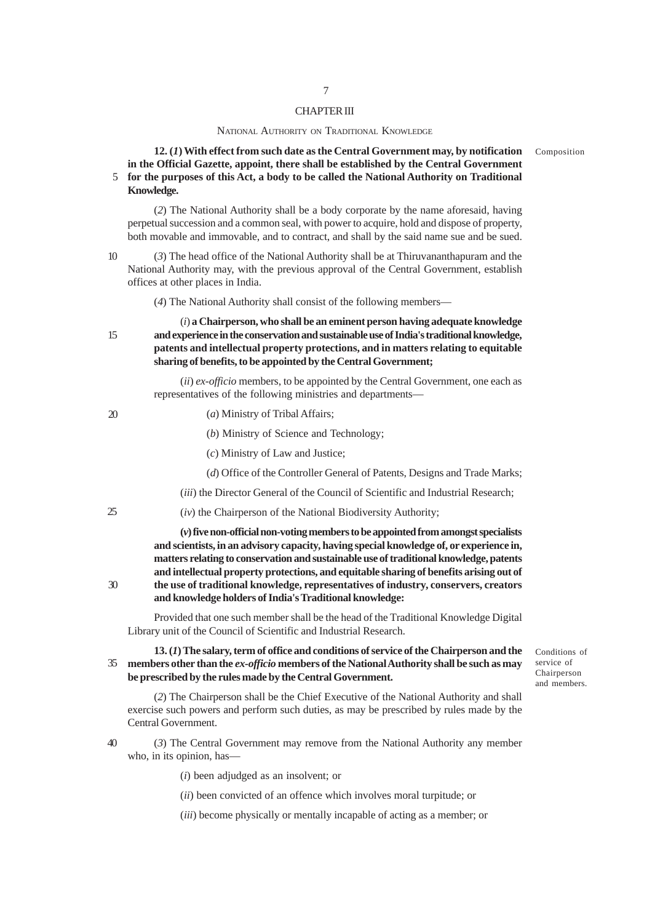# CHAPTER III

#### NATIONAL AUTHORITY ON TRADITIONAL KNOWLEDGE

**12. (***1***) With effect from such date as the Central Government may, by notification in the Official Gazette, appoint, there shall be established by the Central Government for the purposes of this Act, a body to be called the National Authority on Traditional** 5 **Knowledge.** Composition

(*2*) The National Authority shall be a body corporate by the name aforesaid, having perpetual succession and a common seal, with power to acquire, hold and dispose of property, both movable and immovable, and to contract, and shall by the said name sue and be sued.

10

(*3*) The head office of the National Authority shall be at Thiruvananthapuram and the National Authority may, with the previous approval of the Central Government, establish offices at other places in India.

(*4*) The National Authority shall consist of the following members—

(*i*) **a Chairperson, who shall be an eminent person having adequate knowledge and experience in the conservation and sustainable use of India's traditional knowledge, patents and intellectual property protections, and in matters relating to equitable sharing of benefits, to be appointed by the Central Government;**

(*ii*) *ex-officio* members, to be appointed by the Central Government, one each as representatives of the following ministries and departments—

 $\overline{20}$ 

15

#### (*a*) Ministry of Tribal Affairs;

(*b*) Ministry of Science and Technology;

(*c*) Ministry of Law and Justice;

**and knowledge holders of India's Traditional knowledge:**

(*d*) Office of the Controller General of Patents, Designs and Trade Marks;

(*iii*) the Director General of the Council of Scientific and Industrial Research;

(*iv*) the Chairperson of the National Biodiversity Authority;

**(***v***) five non-official non-voting members to be appointed from amongst specialists and scientists, in an advisory capacity, having special knowledge of, or experience in, matters relating to conservation and sustainable use of traditional knowledge, patents and intellectual property protections, and equitable sharing of benefits arising out of the use of traditional knowledge, representatives of industry, conservers, creators**

30

 $40$ 

25

Provided that one such member shall be the head of the Traditional Knowledge Digital Library unit of the Council of Scientific and Industrial Research.

**13. (***1***) The salary, term of office and conditions of service of the Chairperson and the members other than the** *ex-officio* **members of the National Authority shall be such as may be prescribed by the rules made by the Central Government.** 35

Conditions of service of Chairperson and members.

(*2*) The Chairperson shall be the Chief Executive of the National Authority and shall exercise such powers and perform such duties, as may be prescribed by rules made by the Central Government.

(*3*) The Central Government may remove from the National Authority any member who, in its opinion, has—

(*i*) been adjudged as an insolvent; or

(*ii*) been convicted of an offence which involves moral turpitude; or

(*iii*) become physically or mentally incapable of acting as a member; or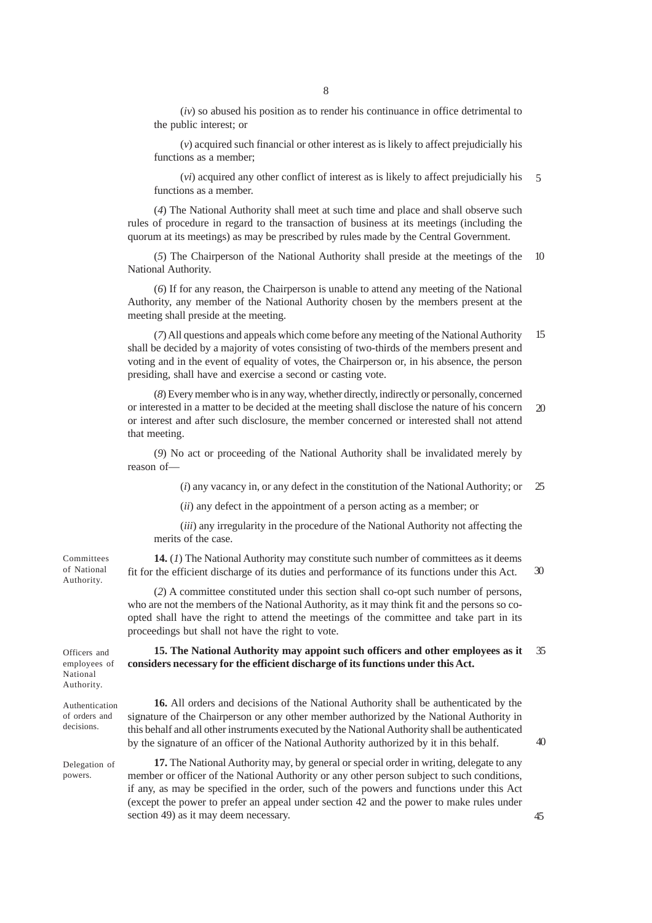(*iv*) so abused his position as to render his continuance in office detrimental to the public interest; or

(*v*) acquired such financial or other interest as is likely to affect prejudicially his functions as a member;

(*vi*) acquired any other conflict of interest as is likely to affect prejudicially his functions as a member. 5

(*4*) The National Authority shall meet at such time and place and shall observe such rules of procedure in regard to the transaction of business at its meetings (including the quorum at its meetings) as may be prescribed by rules made by the Central Government.

(*5*) The Chairperson of the National Authority shall preside at the meetings of the National Authority. 10

(*6*) If for any reason, the Chairperson is unable to attend any meeting of the National Authority, any member of the National Authority chosen by the members present at the meeting shall preside at the meeting.

(*7*) All questions and appeals which come before any meeting of the National Authority shall be decided by a majority of votes consisting of two-thirds of the members present and voting and in the event of equality of votes, the Chairperson or, in his absence, the person presiding, shall have and exercise a second or casting vote. 15

(*8*) Every member who is in any way, whether directly, indirectly or personally, concerned or interested in a matter to be decided at the meeting shall disclose the nature of his concern or interest and after such disclosure, the member concerned or interested shall not attend that meeting.  $20$ 

(*9*) No act or proceeding of the National Authority shall be invalidated merely by reason of—

> (*i*) any vacancy in, or any defect in the constitution of the National Authority; or 25

(*ii*) any defect in the appointment of a person acting as a member; or

(*iii*) any irregularity in the procedure of the National Authority not affecting the merits of the case.

**14.** (*1*) The National Authority may constitute such number of committees as it deems fit for the efficient discharge of its duties and performance of its functions under this Act. 30

(*2*) A committee constituted under this section shall co-opt such number of persons, who are not the members of the National Authority, as it may think fit and the persons so coopted shall have the right to attend the meetings of the committee and take part in its proceedings but shall not have the right to vote.

Officers and employees of National Authority.

Committees of National Authority.

Authentication of orders and decisions.

Delegation of powers.

**15. The National Authority may appoint such officers and other employees as it considers necessary for the efficient discharge of its functions under this Act.** 35

**16.** All orders and decisions of the National Authority shall be authenticated by the signature of the Chairperson or any other member authorized by the National Authority in this behalf and all other instruments executed by the National Authority shall be authenticated by the signature of an officer of the National Authority authorized by it in this behalf.

 $40$ 

**17.** The National Authority may, by general or special order in writing, delegate to any member or officer of the National Authority or any other person subject to such conditions, if any, as may be specified in the order, such of the powers and functions under this Act (except the power to prefer an appeal under section 42 and the power to make rules under section 49) as it may deem necessary.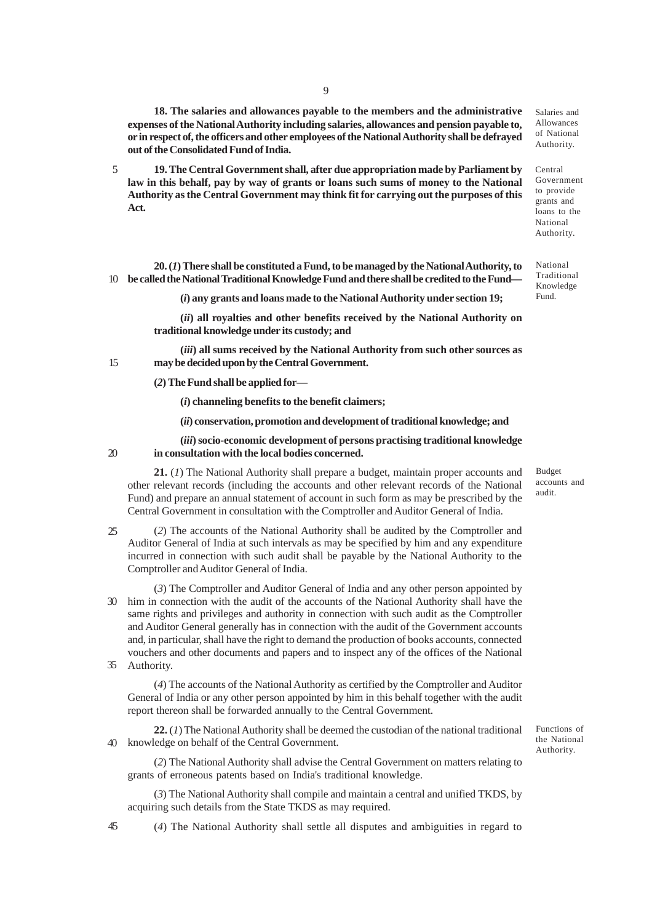**18. The salaries and allowances payable to the members and the administrative expenses of the National Authority including salaries, allowances and pension payable to, or in respect of, the officers and other employees of the National Authority shall be defrayed out of the Consolidated Fund of India.**

**19. The Central Government shall, after due appropriation made by Parliament by law in this behalf, pay by way of grants or loans such sums of money to the National Authority as the Central Government may think fit for carrying out the purposes of this Act.** 5

**20. (***1***) There shall be constituted a Fund, to be managed by the National Authority, to be called the National Traditional Knowledge Fund and there shall be credited to the Fund—** 10

**(***i***) any grants and loans made to the National Authority under section 19;**

**(***ii***) all royalties and other benefits received by the National Authority on traditional knowledge under its custody; and**

**(***iii***) all sums received by the National Authority from such other sources as may be decided upon by the Central Government.**

**(***2***) The Fund shall be applied for—**

**(***i***) channeling benefits to the benefit claimers;**

**(***ii***) conservation, promotion and development of traditional knowledge; and**

**(***iii***) socio-economic development of persons practising traditional knowledge in consultation with the local bodies concerned.**

**21.** (*1*) The National Authority shall prepare a budget, maintain proper accounts and other relevant records (including the accounts and other relevant records of the National Fund) and prepare an annual statement of account in such form as may be prescribed by the Central Government in consultation with the Comptroller and Auditor General of India.

(*2*) The accounts of the National Authority shall be audited by the Comptroller and Auditor General of India at such intervals as may be specified by him and any expenditure incurred in connection with such audit shall be payable by the National Authority to the Comptroller and Auditor General of India. 25

(*3*) The Comptroller and Auditor General of India and any other person appointed by 30 him in connection with the audit of the accounts of the National Authority shall have the same rights and privileges and authority in connection with such audit as the Comptroller and Auditor General generally has in connection with the audit of the Government accounts and, in particular, shall have the right to demand the production of books accounts, connected vouchers and other documents and papers and to inspect any of the offices of the National Authority. 35

(*4*) The accounts of the National Authority as certified by the Comptroller and Auditor General of India or any other person appointed by him in this behalf together with the audit report thereon shall be forwarded annually to the Central Government.

**22.** (*1*) The National Authority shall be deemed the custodian of the national traditional knowledge on behalf of the Central Government.  $40$ 

(*2*) The National Authority shall advise the Central Government on matters relating to grants of erroneous patents based on India's traditional knowledge.

(*3*) The National Authority shall compile and maintain a central and unified TKDS, by acquiring such details from the State TKDS as may required.

45

 $\mathfrak{D}$ 

15

(*4*) The National Authority shall settle all disputes and ambiguities in regard to

Budget accounts and audit.

Authority. Central Government to provide grants and

loans to the National Authority.

National

Salaries and Allowances of National

Functions of the National Authority.

Traditional Knowledge Fund.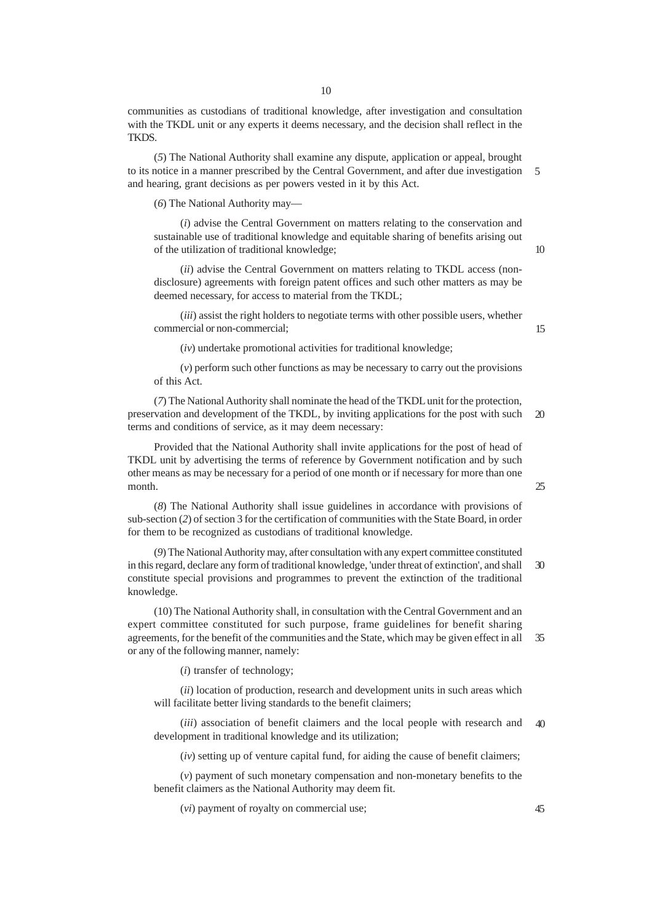communities as custodians of traditional knowledge, after investigation and consultation with the TKDL unit or any experts it deems necessary, and the decision shall reflect in the TKDS.

(*5*) The National Authority shall examine any dispute, application or appeal, brought to its notice in a manner prescribed by the Central Government, and after due investigation and hearing, grant decisions as per powers vested in it by this Act. 5

(*6*) The National Authority may—

(*i*) advise the Central Government on matters relating to the conservation and sustainable use of traditional knowledge and equitable sharing of benefits arising out of the utilization of traditional knowledge;

(*ii*) advise the Central Government on matters relating to TKDL access (nondisclosure) agreements with foreign patent offices and such other matters as may be deemed necessary, for access to material from the TKDL;

(*iii*) assist the right holders to negotiate terms with other possible users, whether commercial or non-commercial;

(*iv*) undertake promotional activities for traditional knowledge;

(*v*) perform such other functions as may be necessary to carry out the provisions of this Act.

(*7*) The National Authority shall nominate the head of the TKDL unit for the protection, preservation and development of the TKDL, by inviting applications for the post with such terms and conditions of service, as it may deem necessary:  $20$ 

Provided that the National Authority shall invite applications for the post of head of TKDL unit by advertising the terms of reference by Government notification and by such other means as may be necessary for a period of one month or if necessary for more than one month.

(*8*) The National Authority shall issue guidelines in accordance with provisions of sub-section (*2*) of section 3 for the certification of communities with the State Board, in order for them to be recognized as custodians of traditional knowledge.

(*9*) The National Authority may, after consultation with any expert committee constituted in this regard, declare any form of traditional knowledge, 'under threat of extinction', and shall constitute special provisions and programmes to prevent the extinction of the traditional knowledge. 30

(10) The National Authority shall, in consultation with the Central Government and an expert committee constituted for such purpose, frame guidelines for benefit sharing agreements, for the benefit of the communities and the State, which may be given effect in all or any of the following manner, namely: 35

(*i*) transfer of technology;

(*ii*) location of production, research and development units in such areas which will facilitate better living standards to the benefit claimers;

(*iii*) association of benefit claimers and the local people with research and development in traditional knowledge and its utilization; 40

(*iv*) setting up of venture capital fund, for aiding the cause of benefit claimers;

(*v*) payment of such monetary compensation and non-monetary benefits to the benefit claimers as the National Authority may deem fit.

(*vi*) payment of royalty on commercial use;

15

25

 $1<sub>0</sub>$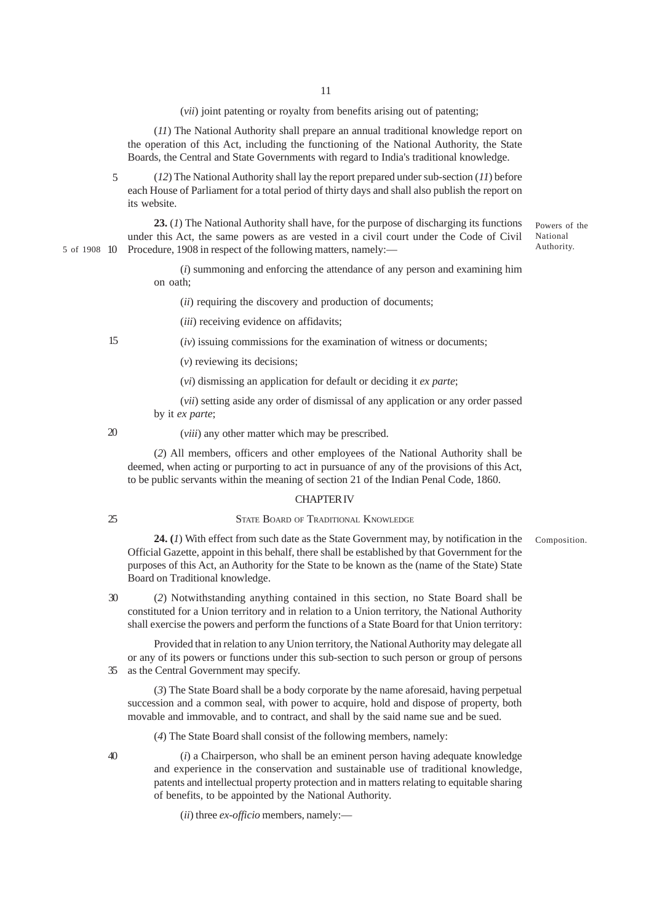(*vii*) joint patenting or royalty from benefits arising out of patenting;

(*11*) The National Authority shall prepare an annual traditional knowledge report on the operation of this Act, including the functioning of the National Authority, the State Boards, the Central and State Governments with regard to India's traditional knowledge.

(*12*) The National Authority shall lay the report prepared under sub-section (*11*) before each House of Parliament for a total period of thirty days and shall also publish the report on its website. 5

**23.** (*1*) The National Authority shall have, for the purpose of discharging its functions under this Act, the same powers as are vested in a civil court under the Code of Civil 5 of 1908 10 Procedure, 1908 in respect of the following matters, namely:—

> (*i*) summoning and enforcing the attendance of any person and examining him on oath;

Powers of the National Authority.

(*iv*) issuing commissions for the examination of witness or documents;

(*ii*) requiring the discovery and production of documents;

(*iii*) receiving evidence on affidavits;

15

(*v*) reviewing its decisions;

(*vi*) dismissing an application for default or deciding it *ex parte*;

(*vii*) setting aside any order of dismissal of any application or any order passed by it *ex parte*;

20

(*viii*) any other matter which may be prescribed.

(*2*) All members, officers and other employees of the National Authority shall be deemed, when acting or purporting to act in pursuance of any of the provisions of this Act, to be public servants within the meaning of section 21 of the Indian Penal Code, 1860.

## CHAPTER IV

25

## STATE BOARD OF TRADITIONAL KNOWLEDGE

**24. (***1*) With effect from such date as the State Government may, by notification in the Official Gazette, appoint in this behalf, there shall be established by that Government for the purposes of this Act, an Authority for the State to be known as the (name of the State) State Board on Traditional knowledge. Composition.

(*2*) Notwithstanding anything contained in this section, no State Board shall be constituted for a Union territory and in relation to a Union territory, the National Authority shall exercise the powers and perform the functions of a State Board for that Union territory: 30

Provided that in relation to any Union territory, the National Authority may delegate all or any of its powers or functions under this sub-section to such person or group of persons as the Central Government may specify. 35

(*3*) The State Board shall be a body corporate by the name aforesaid, having perpetual succession and a common seal, with power to acquire, hold and dispose of property, both movable and immovable, and to contract, and shall by the said name sue and be sued.

(*4*) The State Board shall consist of the following members, namely:

40

(*i*) a Chairperson, who shall be an eminent person having adequate knowledge and experience in the conservation and sustainable use of traditional knowledge, patents and intellectual property protection and in matters relating to equitable sharing of benefits, to be appointed by the National Authority.

(*ii*) three *ex-officio* members, namely:—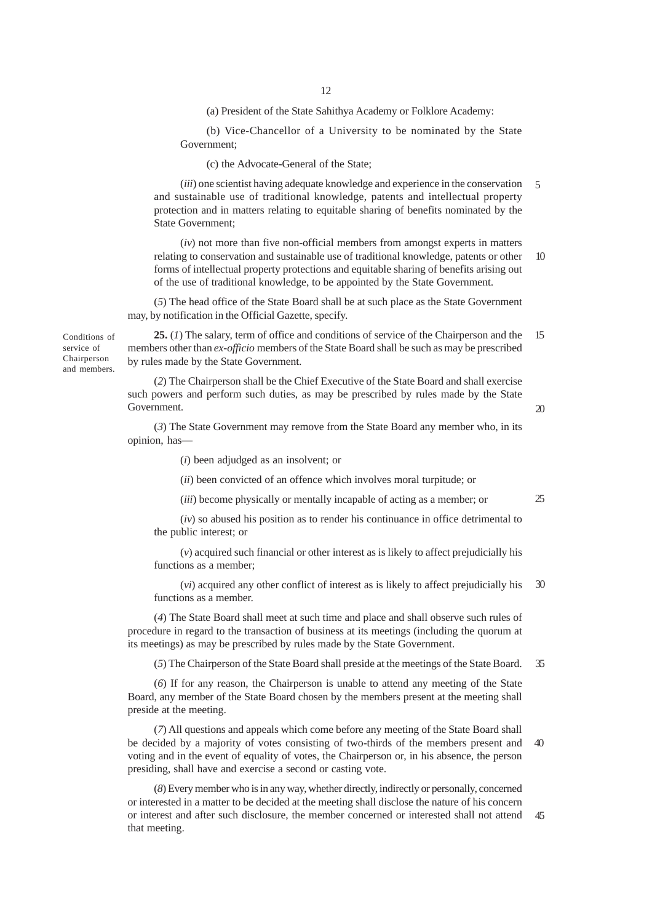(a) President of the State Sahithya Academy or Folklore Academy:

(b) Vice-Chancellor of a University to be nominated by the State Government;

(c) the Advocate-General of the State;

(*iii*) one scientist having adequate knowledge and experience in the conservation and sustainable use of traditional knowledge, patents and intellectual property protection and in matters relating to equitable sharing of benefits nominated by the State Government; 5

(*iv*) not more than five non-official members from amongst experts in matters relating to conservation and sustainable use of traditional knowledge, patents or other forms of intellectual property protections and equitable sharing of benefits arising out of the use of traditional knowledge, to be appointed by the State Government. 10

(*5*) The head office of the State Board shall be at such place as the State Government may, by notification in the Official Gazette, specify.

**25.** (*1*) The salary, term of office and conditions of service of the Chairperson and the members other than *ex-officio* members of the State Board shall be such as may be prescribed by rules made by the State Government. 15

(*2*) The Chairperson shall be the Chief Executive of the State Board and shall exercise such powers and perform such duties, as may be prescribed by rules made by the State Government.

(*3*) The State Government may remove from the State Board any member who, in its opinion, has—

(*i*) been adjudged as an insolvent; or

(*ii*) been convicted of an offence which involves moral turpitude; or

(*iii*) become physically or mentally incapable of acting as a member; or

(*iv*) so abused his position as to render his continuance in office detrimental to the public interest; or

(*v*) acquired such financial or other interest as is likely to affect prejudicially his functions as a member;

(*vi*) acquired any other conflict of interest as is likely to affect prejudicially his functions as a member. 30

(*4*) The State Board shall meet at such time and place and shall observe such rules of procedure in regard to the transaction of business at its meetings (including the quorum at its meetings) as may be prescribed by rules made by the State Government.

(*5*) The Chairperson of the State Board shall preside at the meetings of the State Board. 35

(*6*) If for any reason, the Chairperson is unable to attend any meeting of the State Board, any member of the State Board chosen by the members present at the meeting shall preside at the meeting.

(*7*) All questions and appeals which come before any meeting of the State Board shall be decided by a majority of votes consisting of two-thirds of the members present and voting and in the event of equality of votes, the Chairperson or, in his absence, the person presiding, shall have and exercise a second or casting vote.  $40$ 

(*8*) Every member who is in any way, whether directly, indirectly or personally, concerned or interested in a matter to be decided at the meeting shall disclose the nature of his concern or interest and after such disclosure, the member concerned or interested shall not attend that meeting. 45

Conditions of service of Chairperson and members.

25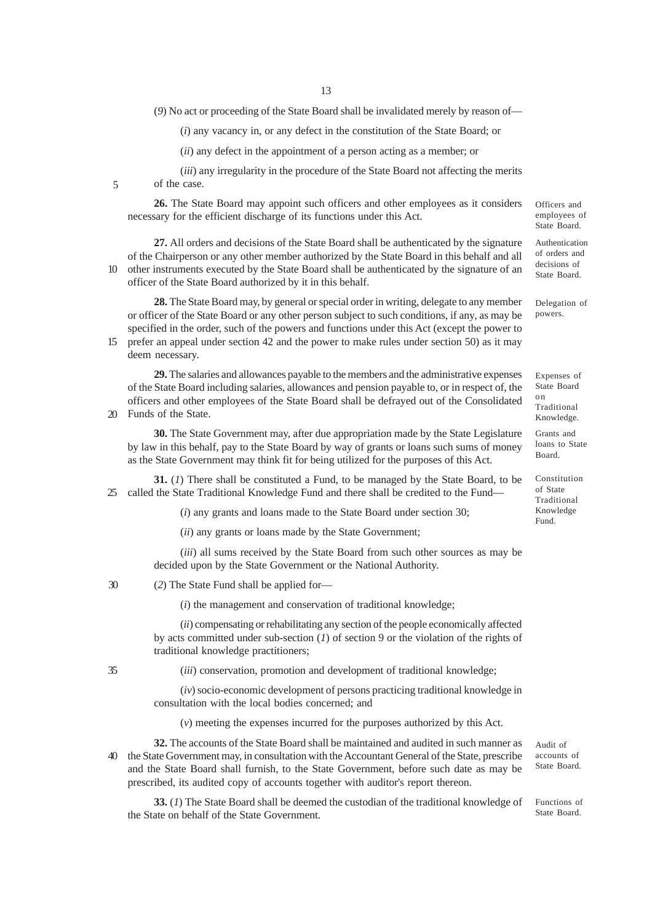(*9*) No act or proceeding of the State Board shall be invalidated merely by reason of—

(*i*) any vacancy in, or any defect in the constitution of the State Board; or

(*ii*) any defect in the appointment of a person acting as a member; or

(*iii*) any irregularity in the procedure of the State Board not affecting the merits of the case.

**26.** The State Board may appoint such officers and other employees as it considers necessary for the efficient discharge of its functions under this Act.

**27.** All orders and decisions of the State Board shall be authenticated by the signature of the Chairperson or any other member authorized by the State Board in this behalf and all 10 other instruments executed by the State Board shall be authenticated by the signature of an officer of the State Board authorized by it in this behalf.

**28.** The State Board may, by general or special order in writing, delegate to any member or officer of the State Board or any other person subject to such conditions, if any, as may be specified in the order, such of the powers and functions under this Act (except the power to prefer an appeal under section 42 and the power to make rules under section 50) as it may

deem necessary.

5

15

**29.** The salaries and allowances payable to the members and the administrative expenses of the State Board including salaries, allowances and pension payable to, or in respect of, the officers and other employees of the State Board shall be defrayed out of the Consolidated 20 Funds of the State.

**30.** The State Government may, after due appropriation made by the State Legislature by law in this behalf, pay to the State Board by way of grants or loans such sums of money as the State Government may think fit for being utilized for the purposes of this Act.

**31.** (*1*) There shall be constituted a Fund, to be managed by the State Board, to be called the State Traditional Knowledge Fund and there shall be credited to the Fund— 25

(*i*) any grants and loans made to the State Board under section 30;

(*ii*) any grants or loans made by the State Government;

(*iii*) all sums received by the State Board from such other sources as may be decided upon by the State Government or the National Authority.

(*2*) The State Fund shall be applied for— 30

(*i*) the management and conservation of traditional knowledge;

(*ii*) compensating or rehabilitating any section of the people economically affected by acts committed under sub-section (*1*) of section 9 or the violation of the rights of traditional knowledge practitioners;

(*iii*) conservation, promotion and development of traditional knowledge;

(*iv*) socio-economic development of persons practicing traditional knowledge in consultation with the local bodies concerned; and

(*v*) meeting the expenses incurred for the purposes authorized by this Act.

**32.** The accounts of the State Board shall be maintained and audited in such manner as the State Government may, in consultation with the Accountant General of the State, prescribe and the State Board shall furnish, to the State Government, before such date as may be prescribed, its audited copy of accounts together with auditor's report thereon. 40

**33.** (*1*) The State Board shall be deemed the custodian of the traditional knowledge of the State on behalf of the State Government.

Officers and employees of State Board.

Authentication of orders and decisions of State Board.

Delegation of powers.

Expenses of State Board on Traditional Knowledge.

Grants and loans to State Board.

Constitution of State Traditional Knowledge Fund.

Audit of accounts of State Board.

Functions of State Board.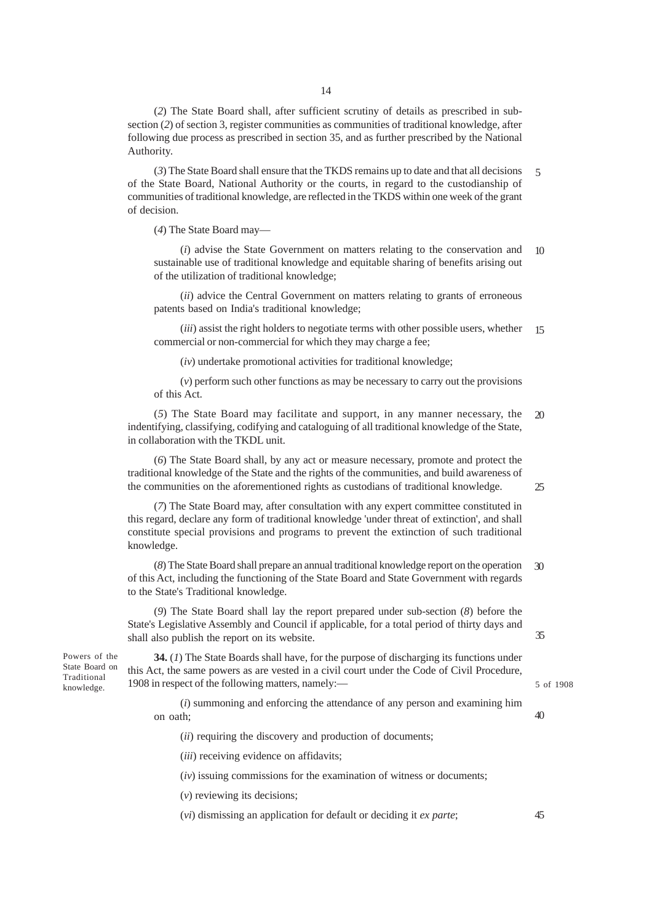(*2*) The State Board shall, after sufficient scrutiny of details as prescribed in subsection (*2*) of section 3, register communities as communities of traditional knowledge, after following due process as prescribed in section 35, and as further prescribed by the National Authority.

(*3*) The State Board shall ensure that the TKDS remains up to date and that all decisions of the State Board, National Authority or the courts, in regard to the custodianship of communities of traditional knowledge, are reflected in the TKDS within one week of the grant of decision. 5

(*4*) The State Board may—

(*i*) advise the State Government on matters relating to the conservation and sustainable use of traditional knowledge and equitable sharing of benefits arising out of the utilization of traditional knowledge; 10

(*ii*) advice the Central Government on matters relating to grants of erroneous patents based on India's traditional knowledge;

(*iii*) assist the right holders to negotiate terms with other possible users, whether commercial or non-commercial for which they may charge a fee; 15

(*iv*) undertake promotional activities for traditional knowledge;

(*v*) perform such other functions as may be necessary to carry out the provisions of this Act.

(*5*) The State Board may facilitate and support, in any manner necessary, the indentifying, classifying, codifying and cataloguing of all traditional knowledge of the State, in collaboration with the TKDL unit. 20

(*6*) The State Board shall, by any act or measure necessary, promote and protect the traditional knowledge of the State and the rights of the communities, and build awareness of the communities on the aforementioned rights as custodians of traditional knowledge.

(*7*) The State Board may, after consultation with any expert committee constituted in this regard, declare any form of traditional knowledge 'under threat of extinction', and shall constitute special provisions and programs to prevent the extinction of such traditional knowledge.

(*8*) The State Board shall prepare an annual traditional knowledge report on the operation of this Act, including the functioning of the State Board and State Government with regards to the State's Traditional knowledge. 30

(*9*) The State Board shall lay the report prepared under sub-section (*8*) before the State's Legislative Assembly and Council if applicable, for a total period of thirty days and shall also publish the report on its website.

Powers of the State Board on Traditional

**34.** (*1*) The State Boards shall have, for the purpose of discharging its functions under this Act, the same powers as are vested in a civil court under the Code of Civil Procedure, 1908 in respect of the following matters, namely:— knowledge. 5 of 1908

> (*i*) summoning and enforcing the attendance of any person and examining him on oath;

(*ii*) requiring the discovery and production of documents;

(*iii*) receiving evidence on affidavits;

(*iv*) issuing commissions for the examination of witness or documents;

(*v*) reviewing its decisions;

(*vi*) dismissing an application for default or deciding it *ex parte*;

35

40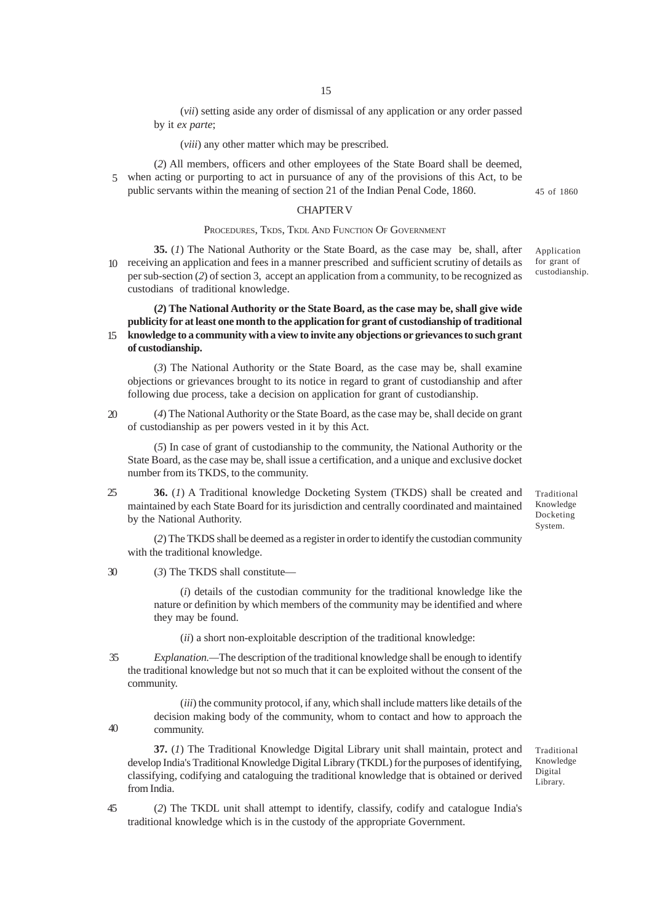15

(*vii*) setting aside any order of dismissal of any application or any order passed by it *ex parte*;

(*viii*) any other matter which may be prescribed.

(*2*) All members, officers and other employees of the State Board shall be deemed, when acting or purporting to act in pursuance of any of the provisions of this Act, to be public servants within the meaning of section 21 of the Indian Penal Code, 1860. 5

CHAPTER V

#### PROCEDURES, TKDS, TKDL AND FUNCTION OF GOVERNMENT

**35.** (*1*) The National Authority or the State Board, as the case may be, shall, after 10 receiving an application and fees in a manner prescribed and sufficient scrutiny of details as per sub-section (*2*) of section 3, accept an application from a community, to be recognized as custodians of traditional knowledge.

**(***2***) The National Authority or the State Board, as the case may be, shall give wide publicity for at least one month to the application for grant of custodianship of traditional knowledge to a community with a view to invite any objections or grievances to such grant of custodianship.** 15

(*3*) The National Authority or the State Board, as the case may be, shall examine objections or grievances brought to its notice in regard to grant of custodianship and after following due process, take a decision on application for grant of custodianship.

(*4*) The National Authority or the State Board, as the case may be, shall decide on grant of custodianship as per powers vested in it by this Act.

(*5*) In case of grant of custodianship to the community, the National Authority or the State Board, as the case may be, shall issue a certification, and a unique and exclusive docket number from its TKDS, to the community.

**36.** (*1*) A Traditional knowledge Docketing System (TKDS) shall be created and maintained by each State Board for its jurisdiction and centrally coordinated and maintained by the National Authority. 25

Traditional Knowledge Docketing System.

Application for grant of custodianship.

45 of 1860

(*2*) The TKDS shall be deemed as a register in order to identify the custodian community with the traditional knowledge.

(*3*) The TKDS shall constitute— 30

> (*i*) details of the custodian community for the traditional knowledge like the nature or definition by which members of the community may be identified and where they may be found.

(*ii*) a short non-exploitable description of the traditional knowledge:

*Explanation.—*The description of the traditional knowledge shall be enough to identify the traditional knowledge but not so much that it can be exploited without the consent of the community. 35

> (*iii*) the community protocol, if any, which shall include matters like details of the decision making body of the community, whom to contact and how to approach the community.

40

**37.** (*1*) The Traditional Knowledge Digital Library unit shall maintain, protect and develop India's Traditional Knowledge Digital Library (TKDL) for the purposes of identifying, classifying, codifying and cataloguing the traditional knowledge that is obtained or derived from India.

Traditional Knowledge Digital Library.

(*2*) The TKDL unit shall attempt to identify, classify, codify and catalogue India's traditional knowledge which is in the custody of the appropriate Government. 45

 $\mathfrak{D}$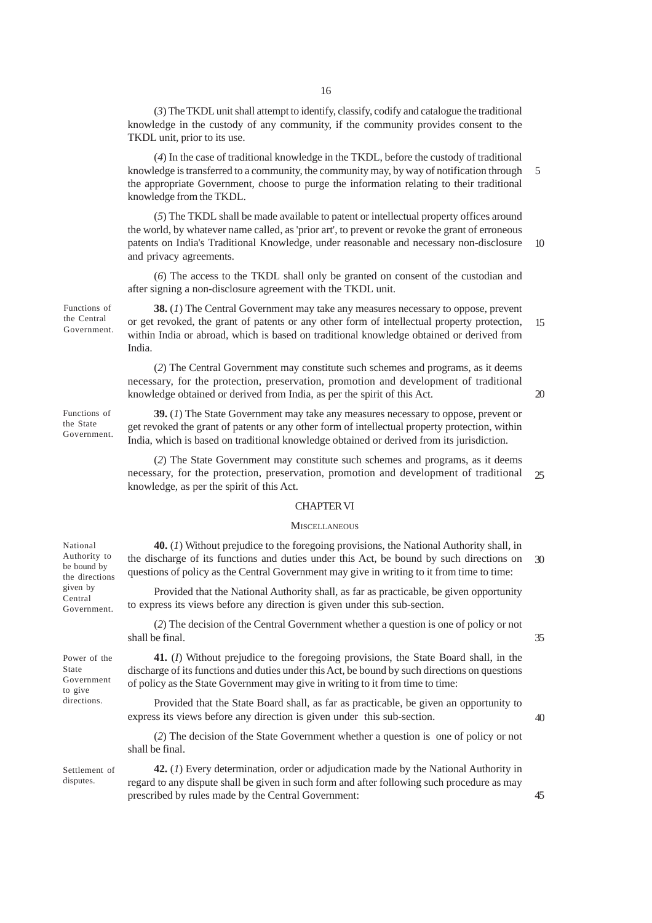(*3*) The TKDL unit shall attempt to identify, classify, codify and catalogue the traditional knowledge in the custody of any community, if the community provides consent to the TKDL unit, prior to its use.

(*4*) In the case of traditional knowledge in the TKDL, before the custody of traditional knowledge is transferred to a community, the community may, by way of notification through the appropriate Government, choose to purge the information relating to their traditional knowledge from the TKDL. 5

(*5*) The TKDL shall be made available to patent or intellectual property offices around the world, by whatever name called, as 'prior art', to prevent or revoke the grant of erroneous patents on India's Traditional Knowledge, under reasonable and necessary non-disclosure and privacy agreements. 10

(*6*) The access to the TKDL shall only be granted on consent of the custodian and after signing a non-disclosure agreement with the TKDL unit.

Functions of the Central Government.

Functions of the State Government.

**38.** (*1*) The Central Government may take any measures necessary to oppose, prevent or get revoked, the grant of patents or any other form of intellectual property protection, within India or abroad, which is based on traditional knowledge obtained or derived from India. 15

(*2*) The Central Government may constitute such schemes and programs, as it deems necessary, for the protection, preservation, promotion and development of traditional knowledge obtained or derived from India, as per the spirit of this Act.

**39.** (*1*) The State Government may take any measures necessary to oppose, prevent or get revoked the grant of patents or any other form of intellectual property protection, within India, which is based on traditional knowledge obtained or derived from its jurisdiction.

(*2*) The State Government may constitute such schemes and programs, as it deems necessary, for the protection, preservation, promotion and development of traditional knowledge, as per the spirit of this Act. 25

#### CHAPTER VI

#### **MISCELLANEOUS**

**40.** (*1*) Without prejudice to the foregoing provisions, the National Authority shall, in the discharge of its functions and duties under this Act, be bound by such directions on questions of policy as the Central Government may give in writing to it from time to time: 30

Provided that the National Authority shall, as far as practicable, be given opportunity to express its views before any direction is given under this sub-section.

(*2*) The decision of the Central Government whether a question is one of policy or not shall be final.

**41.** (*I*) Without prejudice to the foregoing provisions, the State Board shall, in the discharge of its functions and duties under this Act, be bound by such directions on questions of policy as the State Government may give in writing to it from time to time:

Provided that the State Board shall, as far as practicable, be given an opportunity to express its views before any direction is given under this sub-section.

(*2*) The decision of the State Government whether a question is one of policy or not shall be final.

Settlement of disputes.

**42.** (*1*) Every determination, order or adjudication made by the National Authority in regard to any dispute shall be given in such form and after following such procedure as may prescribed by rules made by the Central Government:

Authority to be bound by the directions given by Central

Government.

National

Power of the State Government to give directions.

35

20

 $40$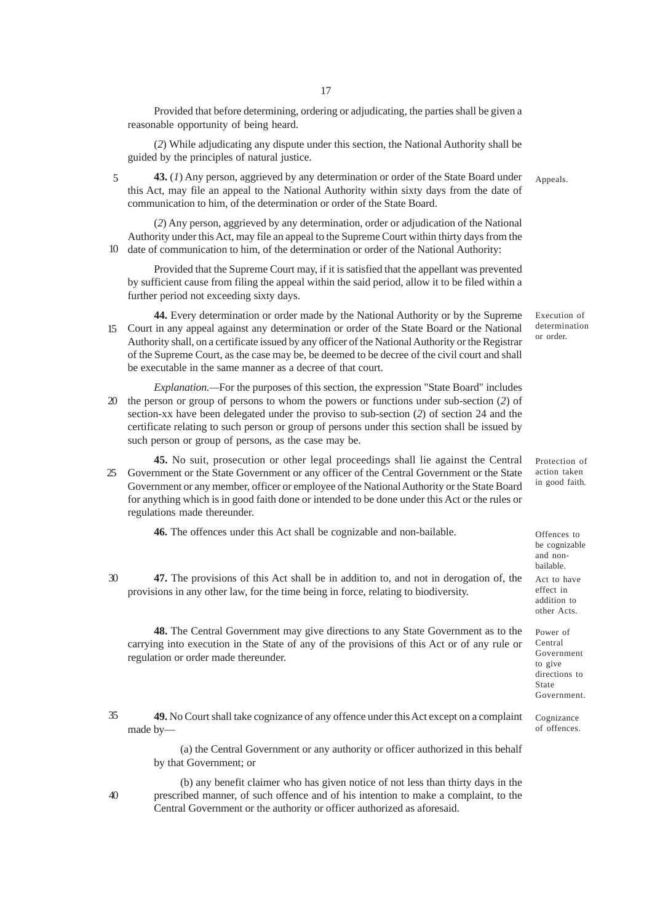Provided that before determining, ordering or adjudicating, the parties shall be given a reasonable opportunity of being heard.

(*2*) While adjudicating any dispute under this section, the National Authority shall be guided by the principles of natural justice.

**43.** (*1*) Any person, aggrieved by any determination or order of the State Board under this Act, may file an appeal to the National Authority within sixty days from the date of communication to him, of the determination or order of the State Board. 5

(*2*) Any person, aggrieved by any determination, order or adjudication of the National Authority under this Act, may file an appeal to the Supreme Court within thirty days from the date of communication to him, of the determination or order of the National Authority: 10

Provided that the Supreme Court may, if it is satisfied that the appellant was prevented by sufficient cause from filing the appeal within the said period, allow it to be filed within a further period not exceeding sixty days.

**44.** Every determination or order made by the National Authority or by the Supreme Court in any appeal against any determination or order of the State Board or the National 15 Authority shall, on a certificate issued by any officer of the National Authority or the Registrar of the Supreme Court, as the case may be, be deemed to be decree of the civil court and shall be executable in the same manner as a decree of that court.

*Explanation.—*For the purposes of this section, the expression "State Board" includes 20 the person or group of persons to whom the powers or functions under sub-section (2) of section-xx have been delegated under the proviso to sub-section (*2*) of section 24 and the certificate relating to such person or group of persons under this section shall be issued by such person or group of persons, as the case may be.

**45.** No suit, prosecution or other legal proceedings shall lie against the Central Government or the State Government or any officer of the Central Government or the State 25 Government or any member, officer or employee of the National Authority or the State Board for anything which is in good faith done or intended to be done under this Act or the rules or regulations made thereunder.

**46.** The offences under this Act shall be cognizable and non-bailable.

**47.** The provisions of this Act shall be in addition to, and not in derogation of, the provisions in any other law, for the time being in force, relating to biodiversity. 30

**48.** The Central Government may give directions to any State Government as to the carrying into execution in the State of any of the provisions of this Act or of any rule or regulation or order made thereunder.

**49.** No Court shall take cognizance of any offence under this Act except on a complaint made by— 35

> (a) the Central Government or any authority or officer authorized in this behalf by that Government; or

(b) any benefit claimer who has given notice of not less than thirty days in the prescribed manner, of such offence and of his intention to make a complaint, to the Central Government or the authority or officer authorized as aforesaid.

Appeals.

Execution of determination or order.

Protection of action taken in good faith.

Offences to be cognizable and nonbailable. Act to have effect in addition to other Acts. Power of

Central Government to give directions to State Government.

Cognizance of offences.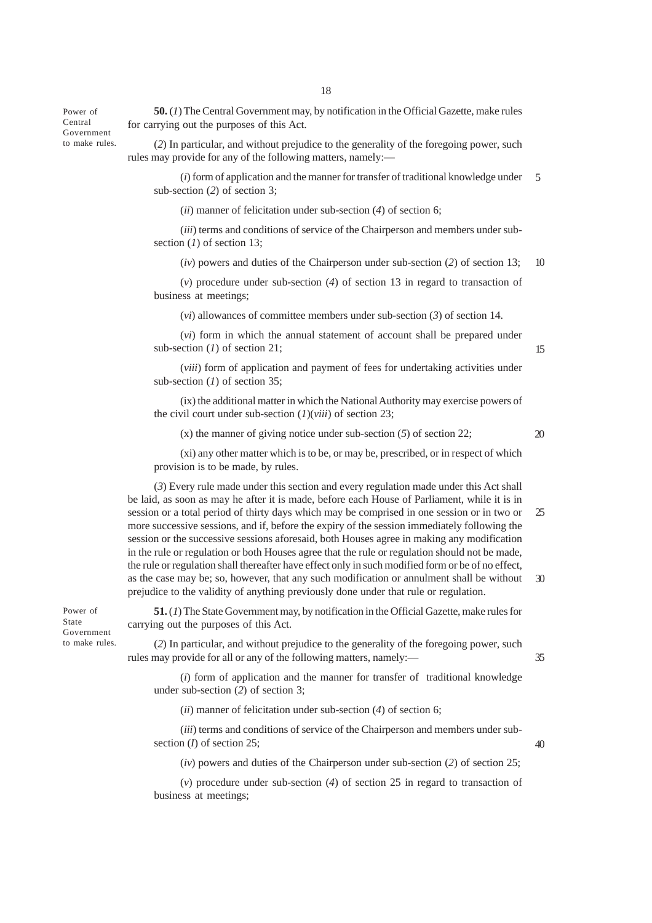Power of Central Government to make rules.

**50.** (*1*) The Central Government may, by notification in the Official Gazette, make rules for carrying out the purposes of this Act.

(*2*) In particular, and without prejudice to the generality of the foregoing power, such rules may provide for any of the following matters, namely:-

(*i*) form of application and the manner for transfer of traditional knowledge under 5 sub-section (*2*) of section 3;

(*ii*) manner of felicitation under sub-section (*4*) of section 6;

(*iii*) terms and conditions of service of the Chairperson and members under subsection (*1*) of section 13;

(*iv*) powers and duties of the Chairperson under sub-section (*2*) of section 13; 10

(*v*) procedure under sub-section (*4*) of section 13 in regard to transaction of business at meetings;

(*vi*) allowances of committee members under sub-section (*3*) of section 14.

(*vi*) form in which the annual statement of account shall be prepared under sub-section (*1*) of section 21;

(*viii*) form of application and payment of fees for undertaking activities under sub-section (*1*) of section 35;

(ix) the additional matter in which the National Authority may exercise powers of the civil court under sub-section  $(I)(viii)$  of section 23;

(x) the manner of giving notice under sub-section (*5*) of section 22;

20

15

(xi) any other matter which is to be, or may be, prescribed, or in respect of which provision is to be made, by rules.

(*3*) Every rule made under this section and every regulation made under this Act shall be laid, as soon as may he after it is made, before each House of Parliament, while it is in session or a total period of thirty days which may be comprised in one session or in two or more successive sessions, and if, before the expiry of the session immediately following the session or the successive sessions aforesaid, both Houses agree in making any modification in the rule or regulation or both Houses agree that the rule or regulation should not be made, the rule or regulation shall thereafter have effect only in such modified form or be of no effect, as the case may be; so, however, that any such modification or annulment shall be without prejudice to the validity of anything previously done under that rule or regulation. 25 30

Power of State Government to make rules.

**51.** (*1*) The State Government may, by notification in the Official Gazette, make rules for carrying out the purposes of this Act.

(*2*) In particular, and without prejudice to the generality of the foregoing power, such rules may provide for all or any of the following matters, namely:—

(*i*) form of application and the manner for transfer of traditional knowledge under sub-section (*2*) of section 3;

(*ii*) manner of felicitation under sub-section (*4*) of section 6;

(*iii*) terms and conditions of service of the Chairperson and members under subsection (*I*) of section 25;

40

35

(*iv*) powers and duties of the Chairperson under sub-section (*2*) of section 25;

(*v*) procedure under sub-section (*4*) of section 25 in regard to transaction of business at meetings;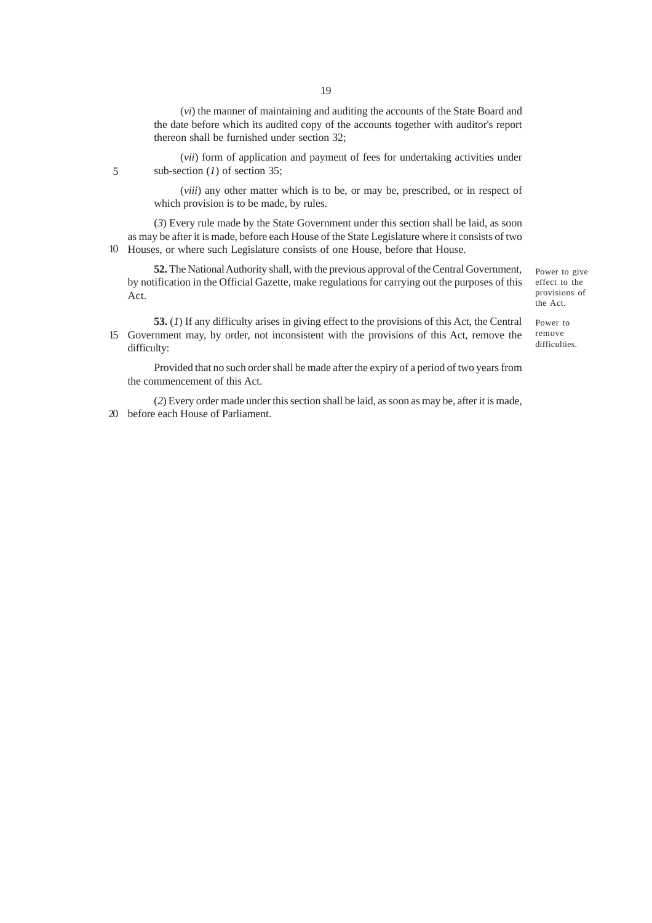(*vi*) the manner of maintaining and auditing the accounts of the State Board and the date before which its audited copy of the accounts together with auditor's report thereon shall be furnished under section 32;

(*vii*) form of application and payment of fees for undertaking activities under sub-section (*1*) of section 35;

(*viii*) any other matter which is to be, or may be, prescribed, or in respect of which provision is to be made, by rules.

(*3*) Every rule made by the State Government under this section shall be laid, as soon as may be after it is made, before each House of the State Legislature where it consists of two 10 Houses, or where such Legislature consists of one House, before that House.

5

**52.** The National Authority shall, with the previous approval of the Central Government, by notification in the Official Gazette, make regulations for carrying out the purposes of this Act.

Power to give effect to the

**53.** (*1*) If any difficulty arises in giving effect to the provisions of this Act, the Central Government may, by order, not inconsistent with the provisions of this Act, remove the 15difficulty:

Provided that no such order shall be made after the expiry of a period of two years from the commencement of this Act.

(*2*) Every order made under this section shall be laid, as soon as may be, after it is made, before each House of Parliament. 20

provisions of the Act.

Power to remove difficulties.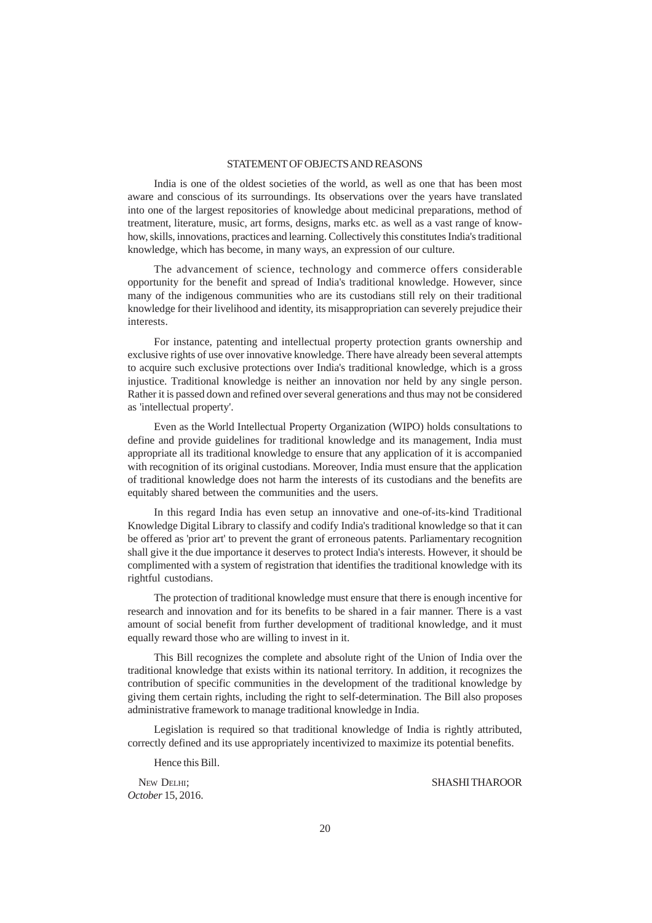# STATEMENT OF OBJECTS AND REASONS

India is one of the oldest societies of the world, as well as one that has been most aware and conscious of its surroundings. Its observations over the years have translated into one of the largest repositories of knowledge about medicinal preparations, method of treatment, literature, music, art forms, designs, marks etc. as well as a vast range of knowhow, skills, innovations, practices and learning. Collectively this constitutes India's traditional knowledge, which has become, in many ways, an expression of our culture.

The advancement of science, technology and commerce offers considerable opportunity for the benefit and spread of India's traditional knowledge. However, since many of the indigenous communities who are its custodians still rely on their traditional knowledge for their livelihood and identity, its misappropriation can severely prejudice their interests.

For instance, patenting and intellectual property protection grants ownership and exclusive rights of use over innovative knowledge. There have already been several attempts to acquire such exclusive protections over India's traditional knowledge, which is a gross injustice. Traditional knowledge is neither an innovation nor held by any single person. Rather it is passed down and refined over several generations and thus may not be considered as 'intellectual property'.

Even as the World Intellectual Property Organization (WIPO) holds consultations to define and provide guidelines for traditional knowledge and its management, India must appropriate all its traditional knowledge to ensure that any application of it is accompanied with recognition of its original custodians. Moreover, India must ensure that the application of traditional knowledge does not harm the interests of its custodians and the benefits are equitably shared between the communities and the users.

In this regard India has even setup an innovative and one-of-its-kind Traditional Knowledge Digital Library to classify and codify India's traditional knowledge so that it can be offered as 'prior art' to prevent the grant of erroneous patents. Parliamentary recognition shall give it the due importance it deserves to protect India's interests. However, it should be complimented with a system of registration that identifies the traditional knowledge with its rightful custodians.

The protection of traditional knowledge must ensure that there is enough incentive for research and innovation and for its benefits to be shared in a fair manner. There is a vast amount of social benefit from further development of traditional knowledge, and it must equally reward those who are willing to invest in it.

This Bill recognizes the complete and absolute right of the Union of India over the traditional knowledge that exists within its national territory. In addition, it recognizes the contribution of specific communities in the development of the traditional knowledge by giving them certain rights, including the right to self-determination. The Bill also proposes administrative framework to manage traditional knowledge in India.

Legislation is required so that traditional knowledge of India is rightly attributed, correctly defined and its use appropriately incentivized to maximize its potential benefits.

Hence this Bill.

*October* 15, 2016.

NEW DELHI: SHASHI THAROOR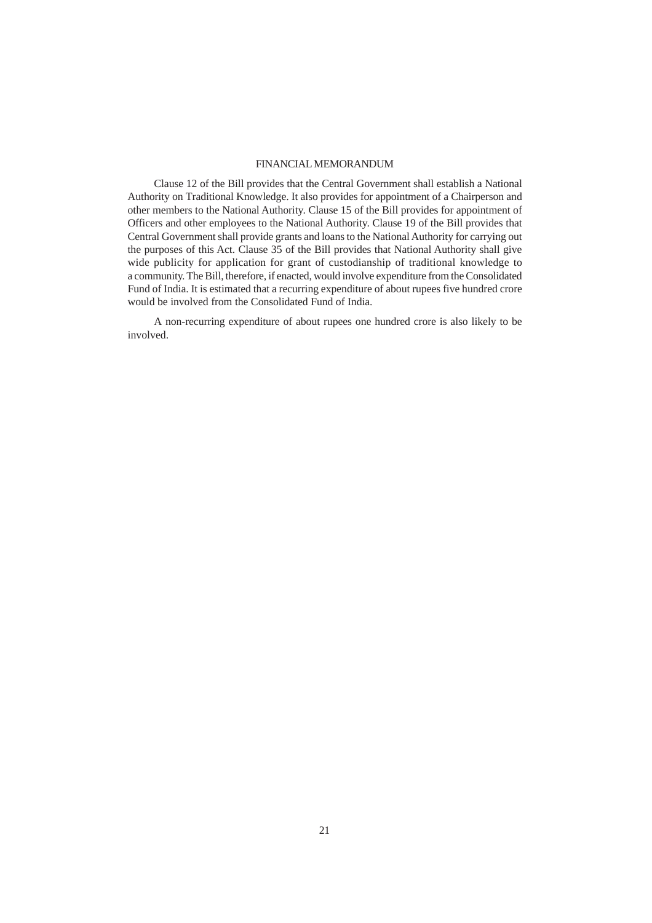# FINANCIAL MEMORANDUM

Clause 12 of the Bill provides that the Central Government shall establish a National Authority on Traditional Knowledge. It also provides for appointment of a Chairperson and other members to the National Authority. Clause 15 of the Bill provides for appointment of Officers and other employees to the National Authority. Clause 19 of the Bill provides that Central Government shall provide grants and loans to the National Authority for carrying out the purposes of this Act. Clause 35 of the Bill provides that National Authority shall give wide publicity for application for grant of custodianship of traditional knowledge to a community. The Bill, therefore, if enacted, would involve expenditure from the Consolidated Fund of India. It is estimated that a recurring expenditure of about rupees five hundred crore would be involved from the Consolidated Fund of India.

A non-recurring expenditure of about rupees one hundred crore is also likely to be involved.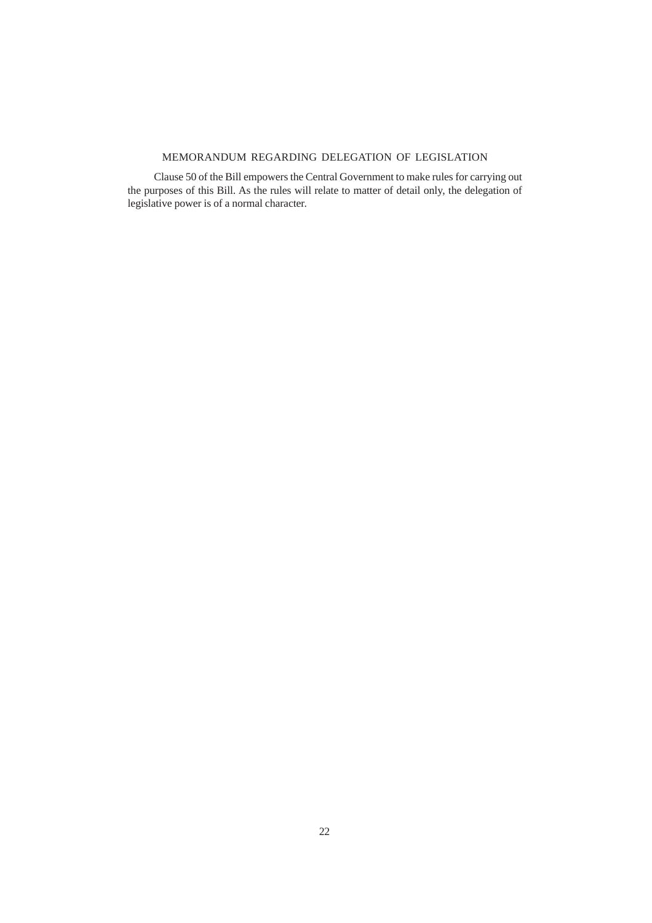# MEMORANDUM REGARDING DELEGATION OF LEGISLATION

Clause 50 of the Bill empowers the Central Government to make rules for carrying out the purposes of this Bill. As the rules will relate to matter of detail only, the delegation of legislative power is of a normal character.